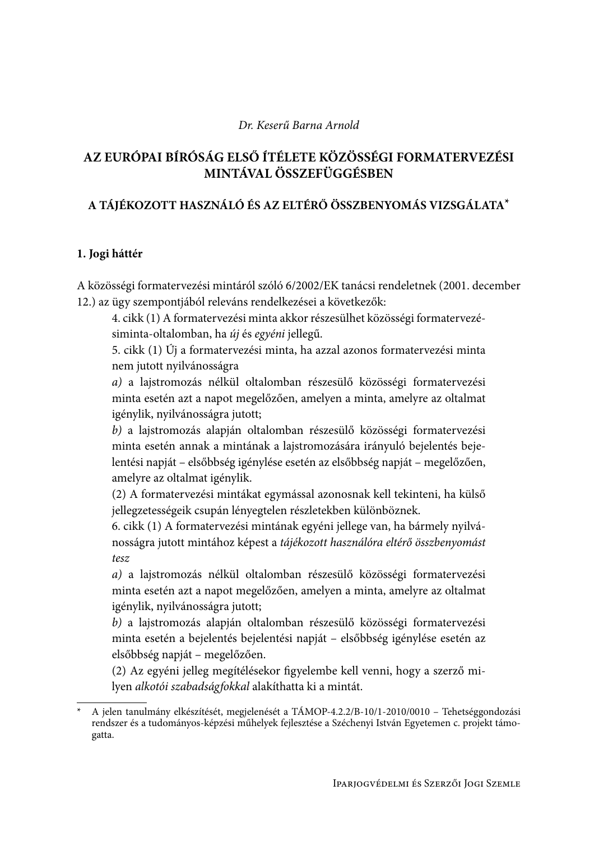# Dr. Keserű Barna Arnold

# AZ EURÓPAI BÍRÓSÁG ELSŐ ÍTÉLETE KÖZÖSSÉGI FORMATERVEZÉSI MINTÁVAL ÖSSZEFÜGGÉSBEN

# A TÁJÉKOZOTT HASZNÁLÓ ÉS AZ ELTÉRŐ ÖSSZBENYOMÁS VIZSGÁLATA\*

# 1. Jogi háttér

A közösségi formatervezési mintáról szóló 6/2002/EK tanácsi rendeletnek (2001. december 12.) az ügy szempontjából releváns rendelkezései a következők:

4. cikk (1) A formatervezési minta akkor részesülhet közösségi formatervezésiminta-oltalomban, ha új és egyéni jellegű.

5. cikk (1) Új a formatervezési minta, ha azzal azonos formatervezési minta nem jutott nyilvánosságra

a) a lajstromozás nélkül oltalomban részesülő közösségi formatervezési minta esetén azt a napot megelőzően, amelyen a minta, amelyre az oltalmat igénylik, nyilvánosságra jutott;

b) a lajstromozás alapján oltalomban részesülő közösségi formatervezési minta esetén annak a mintának a lajstromozására irányuló bejelentés bejelentési napját – elsőbbség igénylése esetén az elsőbbség napját – megelőzően, amelyre az oltalmat igénylik.

(2) A formatervezési mintákat egymással azonosnak kell tekinteni, ha külső jellegzetességeik csupán lényegtelen részletekben különböznek.

6. cikk (1) A formatervezési mintának egyéni jellege van, ha bármely nyilvánosságra jutott mintához képest a tájékozott használóra eltérő összbenyomást  $tesz$ 

a) a lajstromozás nélkül oltalomban részesülő közösségi formatervezési minta esetén azt a napot megelőzően, amelyen a minta, amelyre az oltalmat igénylik, nyilvánosságra jutott;

b) a lajstromozás alapján oltalomban részesülő közösségi formatervezési minta esetén a bejelentés bejelentési napját – elsőbbség igénylése esetén az elsőbbség napját – megelőzően.

(2) Az egyéni jelleg megítélésekor figyelembe kell venni, hogy a szerző milyen alkotói szabadságfokkal alakíthatta ki a mintát.

A jelen tanulmány elkészítését, megjelenését a TÁMOP-4.2.2/B-10/1-2010/0010 – Tehetséggondozási rendszer és a tudományos-képzési műhelyek fejlesztése a Széchenyi István Egyetemen c. projekt támogatta.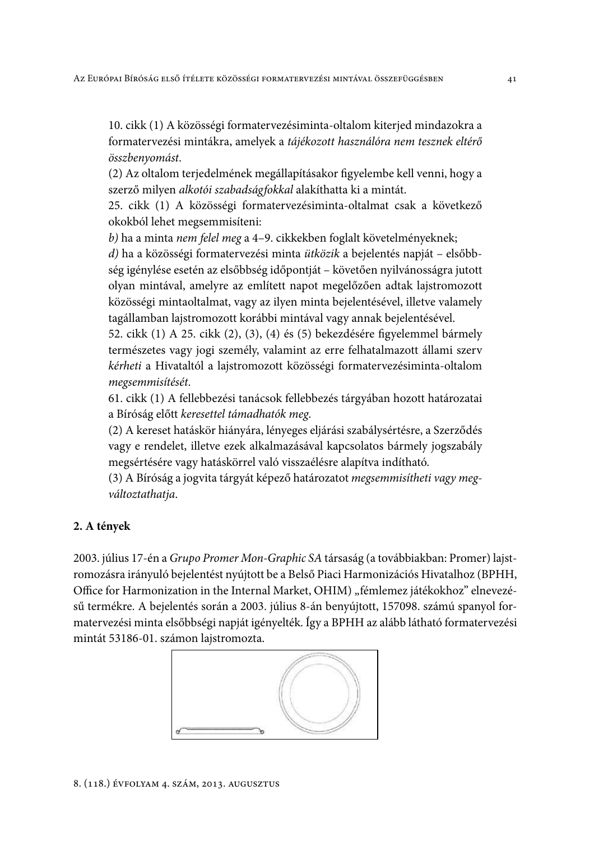10. cikk (1) A közösségi formatervezésiminta-oltalom kiterjed mindazokra a formatervezési mintákra, amelyek a tájékozott használóra nem tesznek eltérő összbenyomást.

(2) Az oltalom terjedelmének megállapításakor figyelembe kell venni, hogy a szerző milyen alkotói szabadságfokkal alakíthatta ki a mintát.

25. cikk (1) A közösségi formatervezésiminta-oltalmat csak a következő okokból lehet megsemmisíteni:

b) ha a minta nem felel meg a 4-9. cikkekben foglalt követelményeknek;

d) ha a közösségi formatervezési minta ütközik a bejelentés napját – elsőbbség igénylése esetén az elsőbbség időpontját – követően nyilvánosságra jutott olyan mintával, amelyre az említett napot megelőzően adtak lajstromozott közösségi mintaoltalmat, vagy az ilyen minta bejelentésével, illetve valamely tagállamban lajstromozott korábbi mintával vagy annak bejelentésével.

52. cikk (1) A 25. cikk (2), (3), (4) és (5) bekezdésére figyelemmel bármely természetes vagy jogi személy, valamint az erre felhatalmazott állami szerv kérheti a Hivataltól a lajstromozott közösségi formatervezésiminta-oltalom megsemmisítését.

61. cikk (1) A fellebbezési tanácsok fellebbezés tárgyában hozott határozatai a Bíróság előtt keresettel támadhatók meg.

(2) A kereset hatáskör hiányára, lényeges eljárási szabálysértésre, a Szerződés vagy e rendelet, illetve ezek alkalmazásával kapcsolatos bármely jogszabály megsértésére vagy hatáskörrel való visszaélésre alapítva indítható.

(3) A Bíróság a jogvita tárgyát képező határozatot megsemmisítheti vagy megváltoztathatja.

# 2. A tények

2003. július 17-én a Grupo Promer Mon-Graphic SA társaság (a továbbiakban: Promer) lajstromozásra irányuló bejelentést nyújtott be a Belső Piaci Harmonizációs Hivatalhoz (BPHH, Office for Harmonization in the Internal Market, OHIM) "fémlemez játékokhoz" elnevezésű termékre. A bejelentés során a 2003. július 8-án benyújtott, 157098. számú spanyol formatervezési minta elsőbbségi napját igényelték. Így a BPHH az alább látható formatervezési mintát 53186-01. számon lajstromozta.

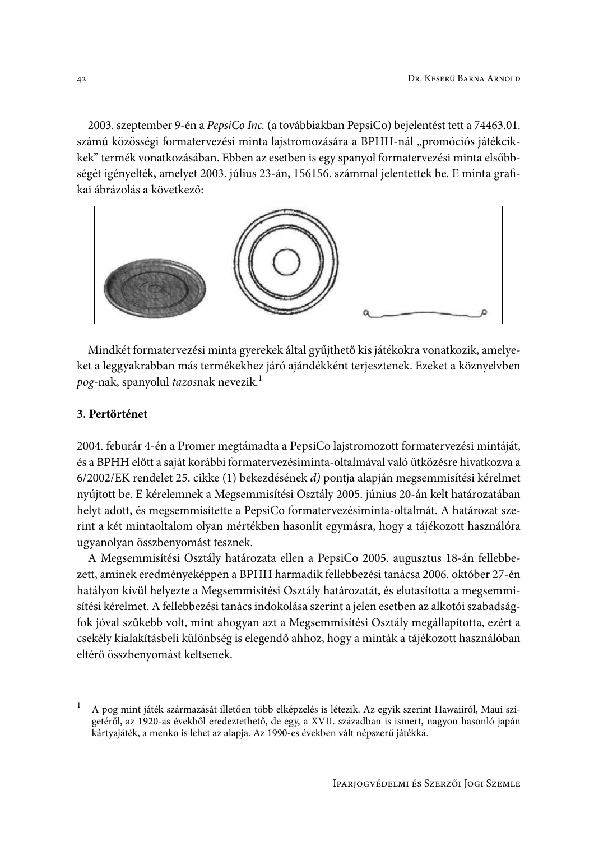2003. szeptember 9-én a PepsiCo Inc. (a továbbiakban PepsiCo) bejelentést tett a 74463.01. számú közösségi formatervezési minta lajstromozására a BPHH-nál "promóciós játékcikkek" termék vonatkozásában. Ebben az esetben is egy spanyol formatervezési minta elsőbbségét igényelték, amelyet 2003. július 23-án, 156156. számmal jelentettek be. E minta grafikai ábrázolás a következő:



Mindkét formatervezési minta gyerekek által gyűjthető kis játékokra vonatkozik, amelyeket a leggyakrabban más termékekhez járó ajándékként terjesztenek. Ezeket a köznyelvben pog-nak, spanyolul tazosnak nevezik.<sup>1</sup>

# 3. Pertörténet

2004. feburár 4-én a Promer megtámadta a PepsiCo lajstromozott formatervezési mintáját, és a BPHH előtt a saját korábbi formatervezésiminta-oltalmával való ütközésre hivatkozva a 6/2002/EK rendelet 25. cikke (1) bekezdésének d) pontja alapján megsemmisítési kérelmet nyújtott be. E kérelemnek a Megsemmisítési Osztály 2005. június 20-án kelt határozatában helyt adott, és megsemmisítette a PepsiCo formatervezésiminta-oltalmát. A határozat szerint a két mintaoltalom olyan mértékben hasonlít egymásra, hogy a tájékozott használóra ugyanolyan összbenyomást tesznek.

A Megsemmisítési Osztály határozata ellen a PepsiCo 2005. augusztus 18-án fellebbezett, aminek eredményeképpen a BPHH harmadik fellebbezési tanácsa 2006. október 27-én hatályon kívül helyezte a Megsemmisítési Osztály határozatát, és elutasította a megsemmisítési kérelmet. A fellebbezési tanács indokolása szerint a jelen esetben az alkotói szabadságfok jóval szűkebb volt, mint ahogyan azt a Megsemmisítési Osztály megállapította, ezért a csekély kialakításbeli különbség is elegendő ahhoz, hogy a minták a tájékozott használóban eltérő összbenyomást keltsenek.

A pog mint játék származását illetően több elképzelés is létezik. Az egyik szerint Hawaiiról, Maui szigetéről, az 1920-as évekből eredeztethető, de egy, a XVII. században is ismert, nagyon hasonló japán kártyajáték, a menko is lehet az alapja. Az 1990-es években vált népszerű játékká.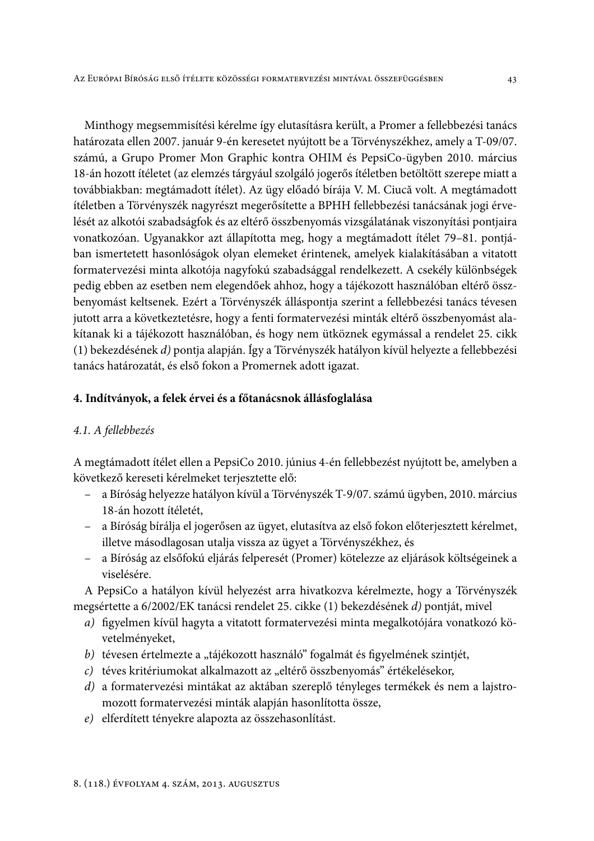Minthogy megsemmisítési kérelme így elutasításra került, a Promer a fellebbezési tanács határozata ellen 2007. január 9-én keresetet nyújtott be a Törvényszékhez, amely a T-09/07. számú, a Grupo Promer Mon Graphic kontra OHIM és PepsiCo-ügyben 2010. március 18-án hozott ítéletet (az elemzés tárgyául szolgáló jogerős ítéletben betöltött szerepe miatt a továbbiakban: megtámadott ítélet). Az ügy előadó bírája V. M. Ciucă volt. A megtámadott ítéletben a Törvényszék nagyrészt megerősítette a BPHH fellebbezési tanácsának jogi érvelését az alkotói szabadságfok és az eltérő összbenyomás vizsgálatának viszonyítási pontjaira vonatkozóan. Ugyanakkor azt állapította meg, hogy a megtámadott ítélet 79–81. pontjában ismertetett hasonlóságok olyan elemeket érintenek, amelyek kialakításában a vitatott formatervezési minta alkotója nagyfokú szabadsággal rendelkezett. A csekély különbségek pedig ebben az esetben nem elegendőek ahhoz, hogy a tájékozott használóban eltérő összbenyomást keltsenek. Ezért a Törvényszék álláspontja szerint a fellebbezési tanács tévesen jutott arra a következtetésre, hogy a fenti formatervezési minták eltérő összbenyomást alakítanak ki a tájékozott használóban, és hogy nem ütköznek egymással a rendelet 25. cikk (1) bekezdésének d) pontja alapján. Így a Törvényszék hatályon kívül helyezte a fellebbezési tanács határozatát, és első fokon a Promernek adott igazat.

### 4. Indítványok, a felek érvei és a főtanácsnok állásfoglalása

### 4.1. A fellebbezés

A megtámadott ítélet ellen a PepsiCo 2010. június 4-én fellebbezést nyújtott be, amelyben a következő kereseti kérelmeket terjesztette elő:

- a Bíróság helyezze hatályon kívül a Törvényszék T-9/07. számú ügyben, 2010. március 18-án hozott ítéletét.
- a Bíróság bírálja el jogerősen az ügyet, elutasítva az első fokon előterjesztett kérelmet, illetve másodlagosan utalja vissza az ügyet a Törvényszékhez, és
- a Bíróság az elsőfokú eljárás felperesét (Promer) kötelezze az eljárások költségeinek a viselésére.

A PepsiCo a hatályon kívül helyezést arra hivatkozva kérelmezte, hogy a Törvényszék megsértette a 6/2002/EK tanácsi rendelet 25. cikke (1) bekezdésének d) pontját, mivel

- a) figyelmen kívül hagyta a vitatott formatervezési minta megalkotójára vonatkozó követelményeket,
- b) tévesen értelmezte a "tájékozott használó" fogalmát és figyelmének szintjét,
- c) téves kritériumokat alkalmazott az "eltérő összbenyomás" értékelésekor,
- d) a formatervezési mintákat az aktában szereplő tényleges termékek és nem a lajstromozott formatervezési minták alapján hasonlította össze,
- e) elferdített tényekre alapozta az összehasonlítást.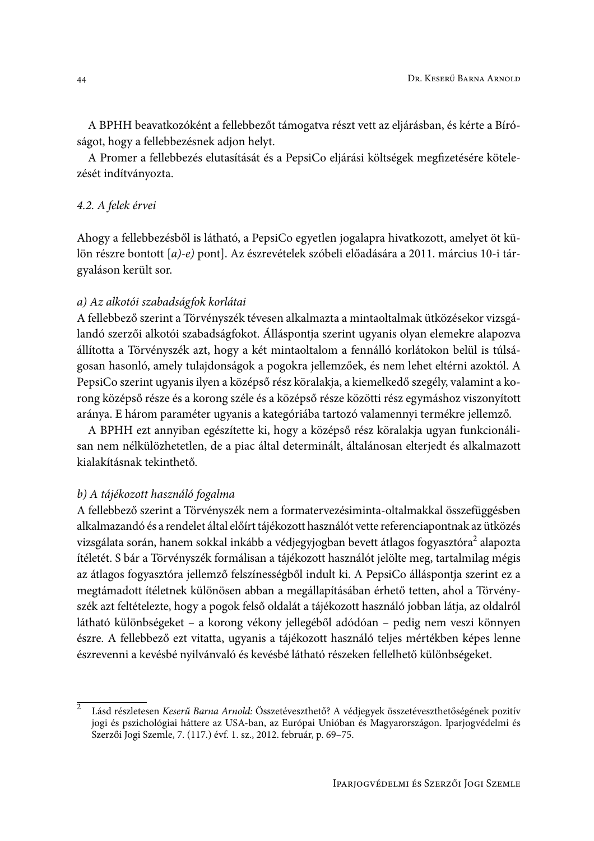A BPHH beavatkozóként a fellebbezőt támogatva részt vett az eljárásban, és kérte a Bíróságot, hogy a fellebbezésnek adjon helyt.

A Promer a fellebbezés elutasítását és a PepsiCo eljárási költségek megfizetésére kötelezését indítványozta.

### 4.2. A felek érvei

Ahogy a fellebbezésből is látható, a PepsiCo egyetlen jogalapra hivatkozott, amelyet öt külön részre bontott [a)-e) pont]. Az észrevételek szóbeli előadására a 2011. március 10-i tárgyaláson került sor.

#### a) Az alkotói szabadságfok korlátai

A fellebbező szerint a Törvényszék tévesen alkalmazta a mintaoltalmak ütközésekor vizsgálandó szerzői alkotói szabadságfokot. Álláspontja szerint ugyanis olyan elemekre alapozva állította a Törvényszék azt, hogy a két mintaoltalom a fennálló korlátokon belül is túlságosan hasonló, amely tulajdonságok a pogokra jellemzőek, és nem lehet eltérni azoktól. A PepsiCo szerint ugyanis ilyen a középső rész köralakja, a kiemelkedő szegély, valamint a korong középső része és a korong széle és a középső része közötti rész egymáshoz viszonyított aránya. E három paraméter ugyanis a kategóriába tartozó valamennyi termékre jellemző.

A BPHH ezt annyiban egészítette ki, hogy a középső rész köralakja ugyan funkcionálisan nem nélkülözhetetlen, de a piac által determinált, általánosan elterjedt és alkalmazott kialakításnak tekinthető.

### b) A tájékozott használó fogalma

A fellebbező szerint a Törvényszék nem a formatervezésiminta-oltalmakkal összefüggésben alkalmazandó és a rendelet által előírt tájékozott használót vette referenciapontnak az ütközés vizsgálata során, hanem sokkal inkább a védjegyjogban bevett átlagos fogyasztóra<sup>2</sup> alapozta ítéletét. S bár a Törvényszék formálisan a tájékozott használót jelölte meg, tartalmilag mégis az átlagos fogyasztóra jellemző felszínességből indult ki. A PepsiCo álláspontja szerint ez a megtámadott ítéletnek különösen abban a megállapításában érhető tetten, ahol a Törvényszék azt feltételezte, hogy a pogok felső oldalát a tájékozott használó jobban látja, az oldalról látható különbségeket – a korong vékony jellegéből adódóan – pedig nem veszi könnyen észre. A fellebbező ezt vitatta, ugyanis a tájékozott használó teljes mértékben képes lenne észrevenni a kevésbé nyilvánvaló és kevésbé látható részeken fellelhető különbségeket.

 $\overline{2}$ Lásd részletesen Keserű Barna Arnold: Összetéveszthető? A védjegyek összetéveszthetőségének pozitív jogi és pszichológiai háttere az USA-ban, az Európai Unióban és Magyarországon. Iparjogvédelmi és Szerzői Jogi Szemle, 7. (117.) évf. 1. sz., 2012. február, p. 69–75.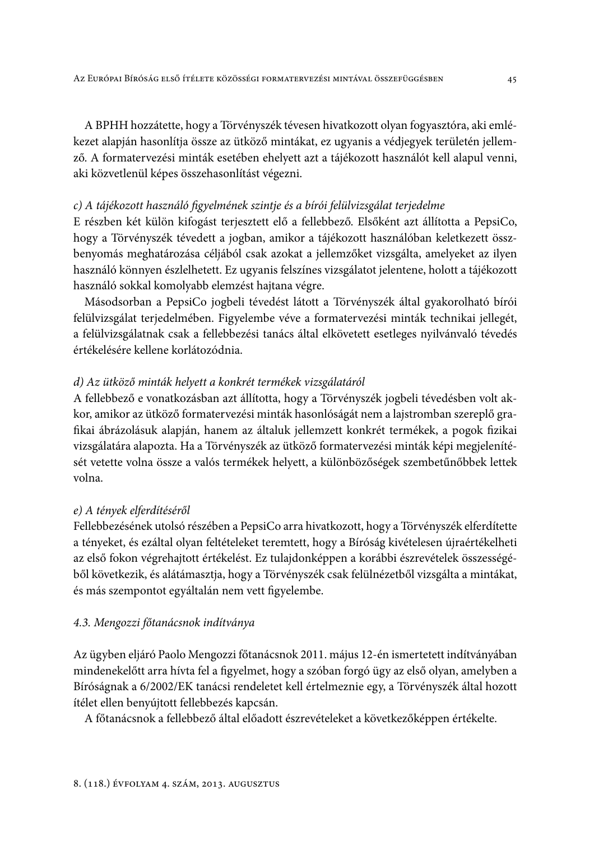A BPHH hozzátette, hogy a Törvényszék tévesen hivatkozott olyan fogyasztóra, aki emlékezet alapján hasonlítja össze az ütköző mintákat, ez ugyanis a védjegyek területén jellemző. A formatervezési minták esetében ehelyett azt a tájékozott használót kell alapul venni, aki közvetlenül képes összehasonlítást végezni.

### c) A tájékozott használó figyelmének szintje és a bírói felülvizsgálat terjedelme

E részben két külön kifogást terjesztett elő a fellebbező. Elsőként azt állította a PepsiCo, hogy a Törvényszék tévedett a jogban, amikor a tájékozott használóban keletkezett összbenyomás meghatározása céljából csak azokat a jellemzőket vizsgálta, amelyeket az ilyen használó könnyen észlelhetett. Ez ugyanis felszínes vizsgálatot jelentene, holott a tájékozott használó sokkal komolyabb elemzést hajtana végre.

Másodsorban a PepsiCo jogbeli tévedést látott a Törvényszék által gyakorolható bírói felülvizsgálat terjedelmében. Figyelembe véve a formatervezési minták technikai jellegét, a felülvizsgálatnak csak a fellebbezési tanács által elkövetett esetleges nyilvánvaló tévedés értékelésére kellene korlátozódnia.

# d) Az ütköző minták helyett a konkrét termékek vizsgálatáról

A fellebbező e vonatkozásban azt állította, hogy a Törvényszék jogbeli tévedésben volt akkor, amikor az ütköző formatervezési minták hasonlóságát nem a lajstromban szereplő grafikai ábrázolásuk alapján, hanem az általuk jellemzett konkrét termékek, a pogok fizikai vizsgálatára alapozta. Ha a Törvényszék az ütköző formatervezési minták képi megjelenítését vetette volna össze a valós termékek helyett, a különbözőségek szembetűnőbbek lettek volna.

### e) A tények elferdítéséről

Fellebbezésének utolsó részében a PepsiCo arra hivatkozott, hogy a Törvényszék elferdítette a tényeket, és ezáltal olyan feltételeket teremtett, hogy a Bíróság kivételesen újraértékelheti az első fokon végrehajtott értékelést. Ez tulajdonképpen a korábbi észrevételek összességéből következik, és alátámasztja, hogy a Törvényszék csak felülnézetből vizsgálta a mintákat, és más szempontot egyáltalán nem vett figyelembe.

### 4.3. Mengozzi főtanácsnok indítványa

Az ügyben eljáró Paolo Mengozzi főtanácsnok 2011. május 12-én ismertetett indítványában mindenekelőtt arra hívta fel a figyelmet, hogy a szóban forgó ügy az első olyan, amelyben a Bíróságnak a 6/2002/EK tanácsi rendeletet kell értelmeznie egy, a Törvényszék által hozott ítélet ellen benyújtott fellebbezés kapcsán.

A főtanácsnok a fellebbező által előadott észrevételeket a következőképpen értékelte.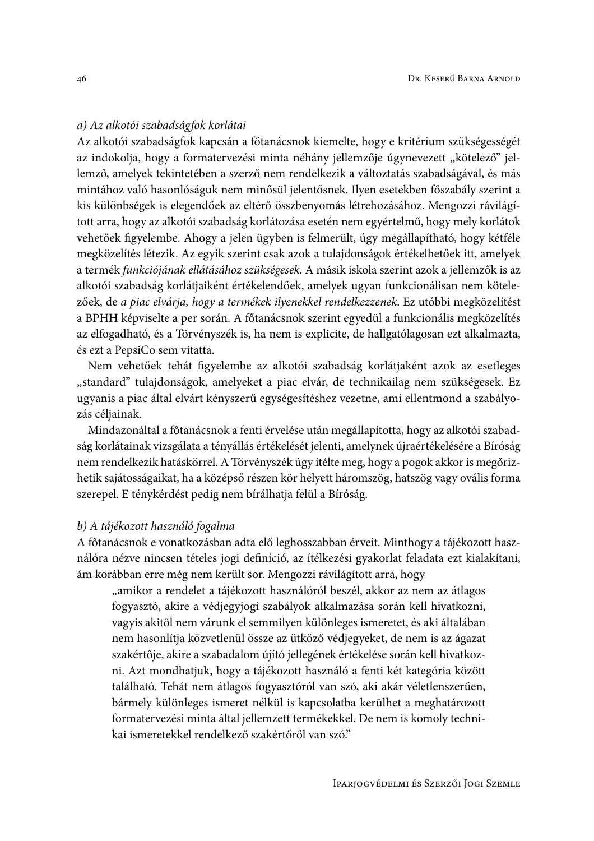### a) Az alkotói szabadságfok korlátai

Az alkotói szabadságfok kapcsán a főtanácsnok kiemelte, hogy e kritérium szükségességét az indokolja, hogy a formatervezési minta néhány jellemzője úgynevezett "kötelező" jellemző, amelyek tekintetében a szerző nem rendelkezik a változtatás szabadságával, és más mintához való hasonlóságuk nem minősül jelentősnek. Ilyen esetekben főszabály szerint a kis különbségek is elegendőek az eltérő összbenyomás létrehozásához. Mengozzi rávilágított arra, hogy az alkotói szabadság korlátozása esetén nem egyértelmű, hogy mely korlátok vehetőek figyelembe. Ahogy a jelen ügyben is felmerült, úgy megállapítható, hogy kétféle megközelítés létezik. Az egyik szerint csak azok a tulajdonságok értékelhetőek itt, amelyek a termék funkciójának ellátásához szükségesek. A másik iskola szerint azok a jellemzők is az alkotói szabadság korlátjaiként értékelendőek, amelyek ugyan funkcionálisan nem kötelezőek, de a piac elvárja, hogy a termékek ilyenekkel rendelkezzenek. Ez utóbbi megközelítést a BPHH képviselte a per során. A főtanácsnok szerint egyedül a funkcionális megközelítés az elfogadható, és a Törvényszék is, ha nem is explicite, de hallgatólagosan ezt alkalmazta, és ezt a PepsiCo sem vitatta.

Nem vehetőek tehát figyelembe az alkotói szabadság korlátjaként azok az esetleges "standard" tulajdonságok, amelyeket a piac elvár, de technikailag nem szükségesek. Ez ugyanis a piac által elvárt kényszerű egységesítéshez vezetne, ami ellentmond a szabályozás céljainak.

Mindazonáltal a főtanácsnok a fenti érvelése után megállapította, hogy az alkotói szabadság korlátainak vizsgálata a tényállás értékelését jelenti, amelynek újraértékelésére a Bíróság nem rendelkezik hatáskörrel. A Törvényszék úgy ítélte meg, hogy a pogok akkor is megőrizhetik sajátosságaikat, ha a középső részen kör helyett háromszög, hatszög vagy ovális forma szerepel. E ténykérdést pedig nem bírálhatja felül a Bíróság.

#### b) A tájékozott használó fogalma

A főtanácsnok e vonatkozásban adta elő leghosszabban érveit. Minthogy a tájékozott használóra nézve nincsen tételes jogi definíció, az ítélkezési gyakorlat feladata ezt kialakítani, ám korábban erre még nem került sor. Mengozzi rávilágított arra, hogy

"amikor a rendelet a tájékozott használóról beszél, akkor az nem az átlagos fogyasztó, akire a védjegyjogi szabályok alkalmazása során kell hivatkozni, vagyis akitől nem várunk el semmilyen különleges ismeretet, és aki általában nem hasonlítja közvetlenül össze az ütköző védjegyeket, de nem is az ágazat szakértője, akire a szabadalom újító jellegének értékelése során kell hivatkozni. Azt mondhatjuk, hogy a tájékozott használó a fenti két kategória között található. Tehát nem átlagos fogyasztóról van szó, aki akár véletlenszerűen, bármely különleges ismeret nélkül is kapcsolatba kerülhet a meghatározott formatervezési minta által jellemzett termékekkel. De nem is komoly technikai ismeretekkel rendelkező szakértőről van szó."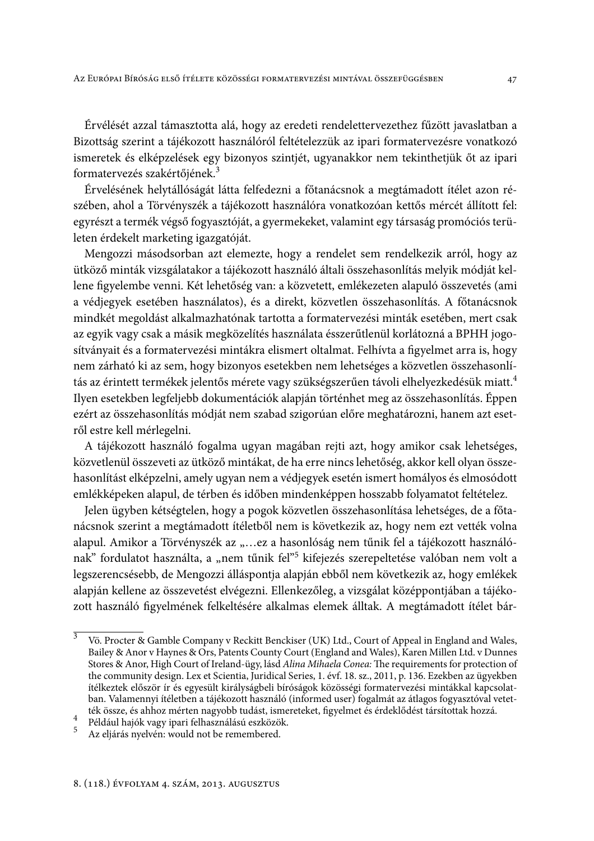Érvélését azzal támasztotta alá, hogy az eredeti rendelettervezethez fűzött javaslatban a Bizottság szerint a tájékozott használóról feltételezzük az ipari formatervezésre vonatkozó ismeretek és elképzelések egy bizonyos szintjét, ugyanakkor nem tekinthetjük őt az ipari formatervezés szakértőjének.<sup>3</sup>

Érvelésének helytállóságát látta felfedezni a főtanácsnok a megtámadott ítélet azon részében, ahol a Törvényszék a tájékozott használóra vonatkozóan kettős mércét állított fel: egyrészt a termék végső fogyasztóját, a gyermekeket, valamint egy társaság promóciós területen érdekelt marketing igazgatóját.

Mengozzi másodsorban azt elemezte, hogy a rendelet sem rendelkezik arról, hogy az ütköző minták vizsgálatakor a tájékozott használó általi összehasonlítás melyik módját kellene figyelembe venni. Két lehetőség van: a közvetett, emlékezeten alapuló összevetés (ami a védjegyek esetében használatos), és a direkt, közvetlen összehasonlítás. A főtanácsnok mindkét megoldást alkalmazhatónak tartotta a formatervezési minták esetében, mert csak az egyik vagy csak a másik megközelítés használata ésszerűtlenül korlátozná a BPHH jogosítványait és a formatervezési mintákra elismert oltalmat. Felhívta a figyelmet arra is, hogy nem zárható ki az sem, hogy bizonyos esetekben nem lehetséges a közvetlen összehasonlítás az érintett termékek jelentős mérete vagy szükségszerűen távoli elhelyezkedésük miatt.<sup>4</sup> Ilyen esetekben legfeljebb dokumentációk alapján történhet meg az összehasonlítás. Éppen ezért az összehasonlítás módját nem szabad szigorúan előre meghatározni, hanem azt esetről estre kell mérlegelni.

A tájékozott használó fogalma ugyan magában rejti azt, hogy amikor csak lehetséges, közvetlenül összeveti az ütköző mintákat, de ha erre nincs lehetőség, akkor kell olyan összehasonlítást elképzelni, amely ugyan nem a védjegyek esetén ismert homályos és elmosódott emlékképeken alapul, de térben és időben mindenképpen hosszabb folyamatot feltételez.

Jelen ügyben kétségtelen, hogy a pogok közvetlen összehasonlítása lehetséges, de a főtanácsnok szerint a megtámadott ítéletből nem is következik az, hogy nem ezt vették volna alapul. Amikor a Törvényszék az "...ez a hasonlóság nem tűnik fel a tájékozott használónak" fordulatot használta, a "nem tűnik fel"<sup>5</sup> kifejezés szerepeltetése valóban nem volt a legszerencsésebb, de Mengozzi álláspontja alapján ebből nem következik az, hogy emlékek alapján kellene az összevetést elvégezni. Ellenkezőleg, a vizsgálat középpontjában a tájékozott használó figyelmének felkeltésére alkalmas elemek álltak. A megtámadott ítélet bár-

 $\overline{3}$ Vö. Procter & Gamble Company v Reckitt Benckiser (UK) Ltd., Court of Appeal in England and Wales, Bailey & Anor v Haynes & Ors, Patents County Court (England and Wales), Karen Millen Ltd. v Dunnes Stores & Anor, High Court of Ireland-ügy, lásd Alina Mihaela Conea: The requirements for protection of the community design. Lex et Scientia, Juridical Series, 1. évf. 18. sz., 2011, p. 136. Ezekben az ügyekben ítélkeztek először ír és egyesült királyságbeli bíróságok közösségi formatervezési mintákkal kapcsolatban. Valamennyi ítéletben a tájékozott használó (informed user) fogalmát az átlagos fogyasztóval vetették össze, és ahhoz mérten nagyobb tudást, ismereteket, figyelmet és érdeklődést társítottak hozzá.

<sup>4</sup> Például hajók vagy ipari felhasználású eszközök.

 $5<sup>1</sup>$ Az eljárás nyelvén: would not be remembered.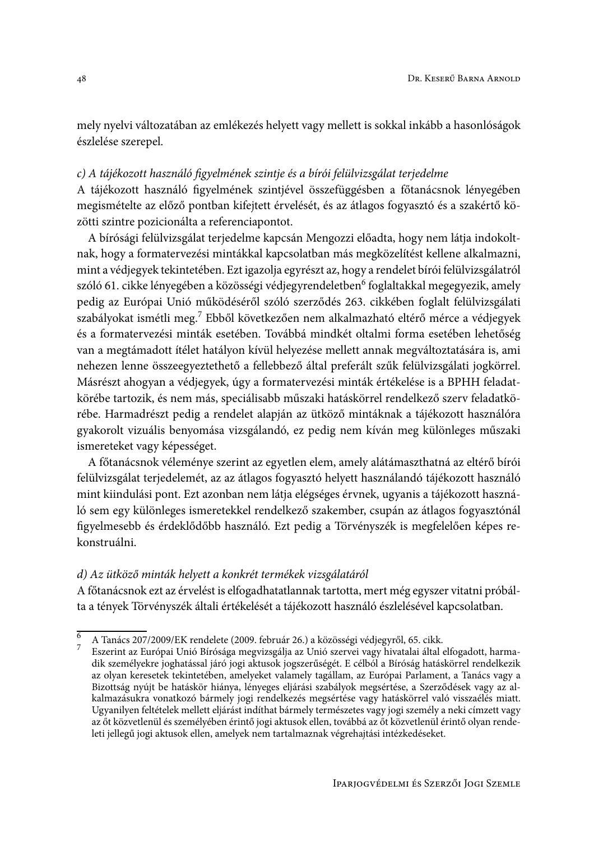mely nyelvi változatában az emlékezés helyett vagy mellett is sokkal inkább a hasonlóságok észlelése szerepel.

# c) A tájékozott használó figyelmének szintje és a bírói felülvizsgálat terjedelme

A tájékozott használó figyelmének szintjével összefüggésben a főtanácsnok lényegében megismételte az előző pontban kifejtett érvelését, és az átlagos fogyasztó és a szakértő közötti szintre pozicionálta a referenciapontot.

A bírósági felülvizsgálat terjedelme kapcsán Mengozzi előadta, hogy nem látja indokoltnak, hogy a formatervezési mintákkal kapcsolatban más megközelítést kellene alkalmazni, mint a védjegyek tekintetében. Ezt igazolja egyrészt az, hogy a rendelet bírói felülvizsgálatról szóló 61. cikke lényegében a közösségi védjegyrendeletben<sup>6</sup> foglaltakkal megegyezik, amely pedig az Európai Unió működéséről szóló szerződés 263. cikkében foglalt felülvizsgálati szabályokat ismétli meg.<sup>7</sup> Ebből következően nem alkalmazható eltérő mérce a védjegyek és a formatervezési minták esetében. Továbbá mindkét oltalmi forma esetében lehetőség van a megtámadott ítélet hatályon kívül helyezése mellett annak megváltoztatására is, ami nehezen lenne összeegyeztethető a fellebbező által preferált szűk felülvizsgálati jogkörrel. Másrészt ahogyan a védjegyek, úgy a formatervezési minták értékelése is a BPHH feladatkörébe tartozik, és nem más, speciálisabb műszaki hatáskörrel rendelkező szerv feladatkörébe. Harmadrészt pedig a rendelet alapján az ütköző mintáknak a tájékozott használóra gyakorolt vizuális benyomása vizsgálandó, ez pedig nem kíván meg különleges műszaki ismereteket vagy képességet.

A főtanácsnok véleménye szerint az egyetlen elem, amely alátámaszthatná az eltérő bírói felülvizsgálat terjedelemét, az az átlagos fogyasztó helyett használandó tájékozott használó mint kiindulási pont. Ezt azonban nem látja elégséges érvnek, ugyanis a tájékozott használó sem egy különleges ismeretekkel rendelkező szakember, csupán az átlagos fogyasztónál figyelmesebb és érdeklődőbb használó. Ezt pedig a Törvényszék is megfelelően képes rekonstruálni.

## d) Az ütköző minták helyett a konkrét termékek vizsgálatáról

A főtanácsnok ezt az érvelést is elfogadhatatlannak tartotta, mert még egyszer vitatni próbálta a tények Törvényszék általi értékelését a tájékozott használó észlelésével kapcsolatban.

 $\overline{6}$ A Tanács 207/2009/EK rendelete (2009. február 26.) a közösségi védjegyről, 65. cikk.

Eszerint az Európai Unió Bírósága megvizsgálja az Unió szervei vagy hivatalai által elfogadott, harma-<br>dik személyekre joghatással járó jogi aktusok jogszerűségét. E célból a Bíróság hatáskörrel rendelkezik az olyan keresetek tekintetében, amelyeket valamely tagállam, az Európai Parlament, a Tanács vagy a Bizottság nyújt be hatáskör hiánya, lényeges eljárási szabályok megsértése, a Szerződések vagy az alkalmazásukra vonatkozó bármely jogi rendelkezés megsértése vagy hatáskörrel való visszaélés miatt. Ugyanilyen feltételek mellett eljárást indíthat bármely természetes vagy jogi személy a neki címzett vagy az őt közvetlenül és személyében érintő jogi aktusok ellen, továbbá az őt közvetlenül érintő olyan rendeleti jellegű jogi aktusok ellen, amelyek nem tartalmaznak végrehajtási intézkedéseket.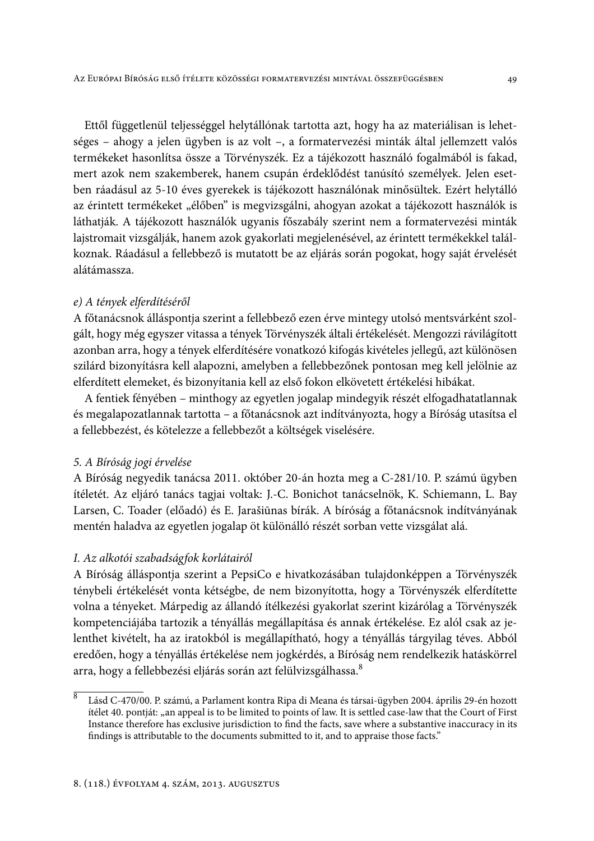Ettől függetlenül teljességgel helytállónak tartotta azt, hogy ha az materiálisan is lehetséges – ahogy a jelen ügyben is az volt –, a formatervezési minták által jellemzett valós termékeket hasonlítsa össze a Törvényszék. Ez a tájékozott használó fogalmából is fakad, mert azok nem szakemberek, hanem csupán érdeklődést tanúsító személyek. Jelen esetben ráadásul az 5-10 éves gyerekek is tájékozott használónak minősültek. Ezért helytálló az érintett termékeket "élőben" is megvizsgálni, ahogyan azokat a tájékozott használók is láthatják. A tájékozott használók ugyanis főszabály szerint nem a formatervezési minták lajstromait vizsgálják, hanem azok gyakorlati megjelenésével, az érintett termékekkel találkoznak. Ráadásul a fellebbező is mutatott be az eljárás során pogokat, hogy saját érvelését alátámassza.

#### e) A tények elferdítéséről

A főtanácsnok álláspontja szerint a fellebbező ezen érve mintegy utolsó mentsvárként szolgált, hogy még egyszer vitassa a tények Törvényszék általi értékelését. Mengozzi rávilágított azonban arra, hogy a tények elferdítésére vonatkozó kifogás kivételes jellegű, azt különösen szilárd bizonyításra kell alapozni, amelyben a fellebbezőnek pontosan meg kell jelölnie az elferdített elemeket, és bizonyítania kell az első fokon elkövetett értékelési hibákat.

A fentiek fényében – minthogy az egyetlen jogalap mindegyik részét elfogadhatatlannak és megalapozatlannak tartotta – a főtanácsnok azt indítványozta, hogy a Bíróság utasítsa el a fellebbezést, és kötelezze a fellebbezőt a költségek viselésére.

#### 5. A Bíróság jogi érvelése

A Bíróság negyedik tanácsa 2011. október 20-án hozta meg a C-281/10. P. számú ügyben ítéletét. Az eljáró tanács tagjai voltak: J.-C. Bonichot tanácselnök, K. Schiemann, L. Bay Larsen, C. Toader (előadó) és E. Jarašiūnas bírák. A bíróság a főtanácsnok indítványának mentén haladva az egyetlen jogalap öt különálló részét sorban vette vizsgálat alá.

#### I. Az alkotói szabadságfok korlátairól

A Bíróság álláspontja szerint a PepsiCo e hivatkozásában tulajdonképpen a Törvényszék ténybeli értékelését vonta kétségbe, de nem bizonyította, hogy a Törvényszék elferdítette volna a tényeket. Márpedig az állandó ítélkezési gyakorlat szerint kizárólag a Törvényszék kompetenciájába tartozik a tényállás megállapítása és annak értékelése. Ez alól csak az jelenthet kivételt, ha az iratokból is megállapítható, hogy a tényállás tárgyilag téves. Abból eredően, hogy a tényállás értékelése nem jogkérdés, a Bíróság nem rendelkezik hatáskörrel arra, hogy a fellebbezési eljárás során azt felülvizsgálhassa.<sup>8</sup>

 $\overline{8}$ Lásd C-470/00. P. számú, a Parlament kontra Ripa di Meana és társai-ügyben 2004. április 29-én hozott itélet 40. pontját: "an appeal is to be limited to points of law. It is settled case-law that the Court of First Instance therefore has exclusive jurisdiction to find the facts, save where a substantive inaccuracy in its findings is attributable to the documents submitted to it, and to appraise those facts."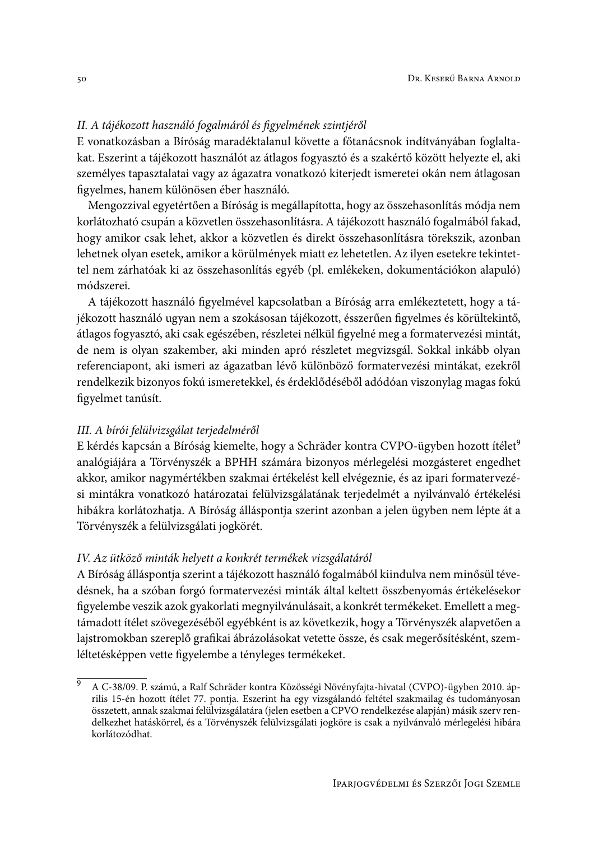# II. A tájékozott használó fogalmáról és figyelmének szintjéről

E vonatkozásban a Bíróság maradéktalanul követte a főtanácsnok indítványában foglaltakat. Eszerint a tájékozott használót az átlagos fogyasztó és a szakértő között helyezte el, aki személyes tapasztalatai vagy az ágazatra vonatkozó kiterjedt ismeretei okán nem átlagosan figyelmes, hanem különösen éber használó.

Mengozzival egyetértően a Bíróság is megállapította, hogy az összehasonlítás módja nem korlátozható csupán a közvetlen összehasonlításra. A tájékozott használó fogalmából fakad, hogy amikor csak lehet, akkor a közvetlen és direkt összehasonlításra törekszik, azonban lehetnek olyan esetek, amikor a körülmények miatt ez lehetetlen. Az ilyen esetekre tekintettel nem zárhatóak ki az összehasonlítás egyéb (pl. emlékeken, dokumentációkon alapuló) módszerei.

A tájékozott használó figyelmével kapcsolatban a Bíróság arra emlékeztetett, hogy a tájékozott használó ugyan nem a szokásosan tájékozott, ésszerűen figyelmes és körültekintő, átlagos fogyasztó, aki csak egészében, részletei nélkül figyelné meg a formatervezési mintát, de nem is olyan szakember, aki minden apró részletet megvizsgál. Sokkal inkább olyan referenciapont, aki ismeri az ágazatban lévő különböző formatervezési mintákat, ezekről rendelkezik bizonyos fokú ismeretekkel, és érdeklődéséből adódóan viszonylag magas fokú figyelmet tanúsít.

#### III. A bírói felülvizsgálat terjedelméről

E kérdés kapcsán a Bíróság kiemelte, hogy a Schräder kontra CVPO-ügyben hozott ítélet<sup>9</sup> analógiájára a Törvényszék a BPHH számára bizonyos mérlegelési mozgásteret engedhet akkor, amikor nagymértékben szakmai értékelést kell elvégeznie, és az ipari formatervezési mintákra vonatkozó határozatai felülvizsgálatának terjedelmét a nyilvánvaló értékelési hibákra korlátozhatja. A Bíróság álláspontja szerint azonban a jelen ügyben nem lépte át a Törvényszék a felülvizsgálati jogkörét.

#### IV. Az ütköző minták helyett a konkrét termékek vizsgálatáról

A Bíróság álláspontja szerint a tájékozott használó fogalmából kiindulva nem minősül tévedésnek, ha a szóban forgó formatervezési minták által keltett összbenyomás értékelésekor figyelembe veszik azok gyakorlati megnyilvánulásait, a konkrét termékeket. Emellett a megtámadott ítélet szövegezéséből egyébként is az következik, hogy a Törvényszék alapvetően a lajstromokban szereplő grafikai ábrázolásokat vetette össze, és csak megerősítésként, szemléltetésképpen vette figyelembe a tényleges termékeket.

 $\overline{9}$ A C-38/09. P. számú, a Ralf Schräder kontra Közösségi Növényfajta-hivatal (CVPO)-ügyben 2010. április 15-én hozott ítélet 77. pontja. Eszerint ha egy vizsgálandó feltétel szakmailag és tudományosan összetett, annak szakmai felülvizsgálatára (jelen esetben a CPVO rendelkezése alapján) másik szerv rendelkezhet hatáskörrel, és a Törvényszék felülvizsgálati jogköre is csak a nyilvánvaló mérlegelési hibára korlátozódhat.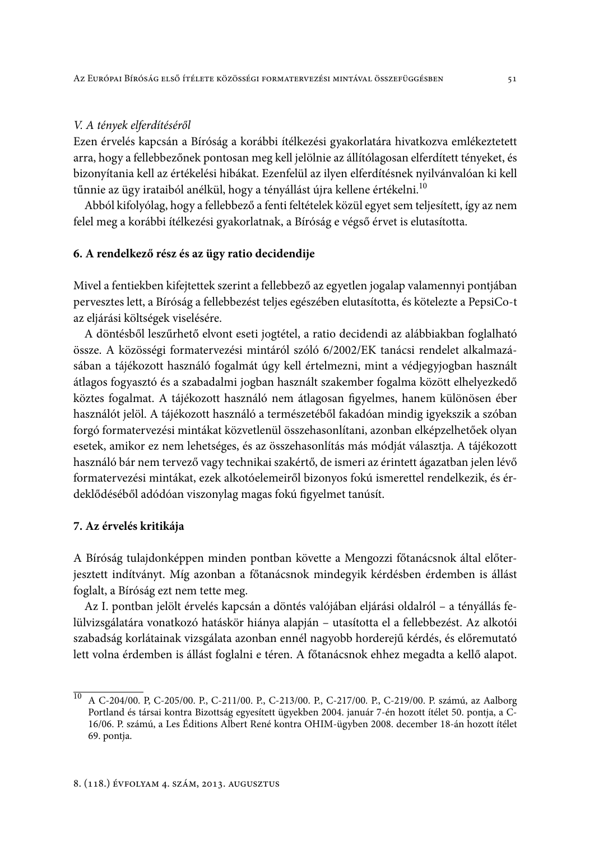### V. A tények elferdítéséről

Ezen érvelés kapcsán a Bíróság a korábbi ítélkezési gyakorlatára hivatkozva emlékeztetett arra, hogy a fellebbezőnek pontosan meg kell jelölnie az állítólagosan elferdített tényeket, és bizonyítania kell az értékelési hibákat. Ezenfelül az ilyen elferdítésnek nyilvánvalóan ki kell tűnnie az ügy irataiból anélkül, hogy a tényállást újra kellene értékelni.<sup>10</sup>

Abból kifolyólag, hogy a fellebbező a fenti feltételek közül egyet sem teljesített, így az nem felel meg a korábbi ítélkezési gyakorlatnak, a Bíróság e végső érvet is elutasította.

### 6. A rendelkező rész és az ügy ratio decidendije

Mivel a fentiekben kifejtettek szerint a fellebbező az egyetlen jogalap valamennyi pontjában pervesztes lett, a Bíróság a fellebbezést teljes egészében elutasította, és kötelezte a PepsiCo-t az eljárási költségek viselésére.

A döntésből leszűrhető elvont eseti jogtétel, a ratio decidendi az alábbiakban foglalható össze. A közösségi formatervezési mintáról szóló 6/2002/EK tanácsi rendelet alkalmazásában a tájékozott használó fogalmát úgy kell értelmezni, mint a védjegyjogban használt átlagos fogyasztó és a szabadalmi jogban használt szakember fogalma között elhelyezkedő köztes fogalmat. A tájékozott használó nem átlagosan figyelmes, hanem különösen éber használót jelöl. A tájékozott használó a természetéből fakadóan mindig igyekszik a szóban forgó formatervezési mintákat közvetlenül összehasonlítani, azonban elképzelhetőek olyan esetek, amikor ez nem lehetséges, és az összehasonlítás más módját választja. A tájékozott használó bár nem tervező vagy technikai szakértő, de ismeri az érintett ágazatban jelen lévő formatervezési mintákat, ezek alkotóelemeiről bizonyos fokú ismerettel rendelkezik, és érdeklődéséből adódóan viszonylag magas fokú figyelmet tanúsít.

#### 7. Az érvelés kritikája

A Bíróság tulajdonképpen minden pontban követte a Mengozzi főtanácsnok által előterjesztett indítványt. Míg azonban a főtanácsnok mindegyik kérdésben érdemben is állást foglalt, a Bíróság ezt nem tette meg.

Az I. pontban jelölt érvelés kapcsán a döntés valójában eljárási oldalról – a tényállás felülvizsgálatára vonatkozó hatáskör hiánya alapján - utasította el a fellebbezést. Az alkotói szabadság korlátainak vizsgálata azonban ennél nagyobb horderejű kérdés, és előremutató lett volna érdemben is állást foglalni e téren. A főtanácsnok ehhez megadta a kellő alapot.

<sup>&</sup>lt;sup>10</sup> A C-204/00. P, C-205/00. P., C-211/00. P., C-213/00. P., C-217/00. P., C-219/00. P. számú, az Aalborg Portland és társai kontra Bizottság egyesített ügyekben 2004. január 7-én hozott ítélet 50. pontja, a C-16/06. P. számú, a Les Éditions Albert René kontra OHIM-ügyben 2008. december 18-án hozott ítélet 69. pontja.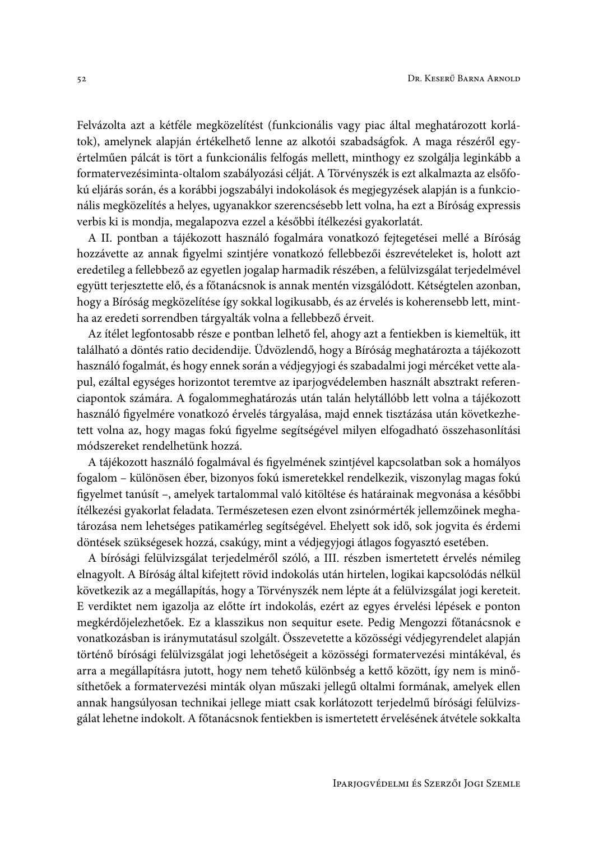Felvázolta azt a kétféle megközelítést (funkcionális vagy piac által meghatározott korlátok), amelynek alapján értékelhető lenne az alkotói szabadságfok. A maga részéről egyértelműen pálcát is tört a funkcionális felfogás mellett, minthogy ez szolgálja leginkább a formatervezésiminta-oltalom szabályozási célját. A Törvényszék is ezt alkalmazta az elsőfokú eljárás során, és a korábbi jogszabályi indokolások és megjegyzések alapján is a funkcionális megközelítés a helyes, ugyanakkor szerencsésebb lett volna, ha ezt a Bíróság expressis verbis ki is mondja, megalapozva ezzel a későbbi ítélkezési gyakorlatát.

A II. pontban a tájékozott használó fogalmára vonatkozó fejtegetései mellé a Bíróság hozzávette az annak figyelmi szintjére vonatkozó fellebbezői észrevételeket is, holott azt eredetileg a fellebbező az egyetlen jogalap harmadik részében, a felülvizsgálat terjedelmével együtt terjesztette elő, és a főtanácsnok is annak mentén vizsgálódott. Kétségtelen azonban, hogy a Bíróság megközelítése így sokkal logikusabb, és az érvelés is koherensebb lett, mintha az eredeti sorrendben tárgyalták volna a fellebbező érveit.

Az ítélet legfontosabb része e pontban lelhető fel, ahogy azt a fentiekben is kiemeltük, itt található a döntés ratio decidendije. Üdvözlendő, hogy a Bíróság meghatározta a tájékozott használó fogalmát, és hogy ennek során a védjegyjogi és szabadalmi jogi mércéket vette alapul, ezáltal egységes horizontot teremtve az iparjogvédelemben használt absztrakt referenciapontok számára. A fogalommeghatározás után talán helytállóbb lett volna a tájékozott használó figyelmére vonatkozó érvelés tárgyalása, majd ennek tisztázása után következhetett volna az, hogy magas fokú figyelme segítségével milyen elfogadható összehasonlítási módszereket rendelhetünk hozzá.

A tájékozott használó fogalmával és figyelmének szintjével kapcsolatban sok a homályos fogalom - különösen éber, bizonyos fokú ismeretekkel rendelkezik, viszonylag magas fokú figyelmet tanúsít -, amelyek tartalommal való kitöltése és határainak megvonása a későbbi ítélkezési gyakorlat feladata. Természetesen ezen elvont zsinórmérték jellemzőinek meghatározása nem lehetséges patikamérleg segítségével. Ehelyett sok idő, sok jogvita és érdemi döntések szükségesek hozzá, csakúgy, mint a védjegyjogi átlagos fogyasztó esetében.

A bírósági felülvizsgálat terjedelméről szóló, a III. részben ismertetett érvelés némileg elnagyolt. A Bíróság által kifejtett rövid indokolás után hirtelen, logikai kapcsolódás nélkül következik az a megállapítás, hogy a Törvényszék nem lépte át a felülvizsgálat jogi kereteit. E verdiktet nem igazolja az előtte írt indokolás, ezért az egyes érvelési lépések e ponton megkérdőjelezhetőek. Ez a klasszikus non sequitur esete. Pedig Mengozzi főtanácsnok e vonatkozásban is iránymutatásul szolgált. Összevetette a közösségi védjegyrendelet alapján történő bírósági felülvizsgálat jogi lehetőségeit a közösségi formatervezési mintákéval, és arra a megállapításra jutott, hogy nem tehető különbség a kettő között, így nem is minősíthetőek a formatervezési minták olyan műszaki jellegű oltalmi formának, amelyek ellen annak hangsúlyosan technikai jellege miatt csak korlátozott terjedelmű bírósági felülvizsgálat lehetne indokolt. A főtanácsnok fentiekben is ismertetett érvelésének átvétele sokkalta